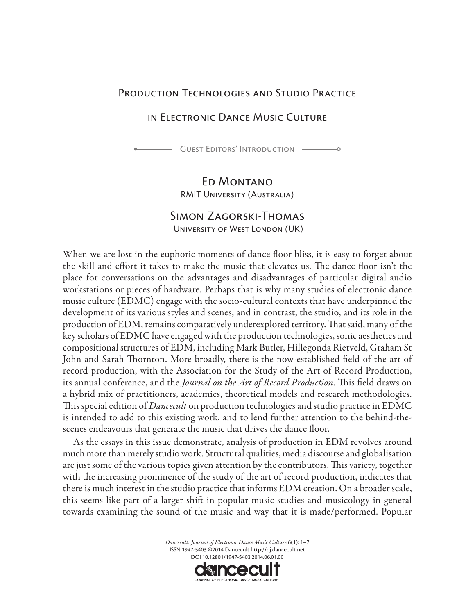## Production Technologies and Studio Practice

## in Electronic Dance Music Culture

- Guest Editors' Introduction - $\overline{\phantom{0}}$ 

## Ed Montano RMIT University (Australia)

## Simon Zagorski-Thomas

University of West London (UK)

When we are lost in the euphoric moments of dance floor bliss, it is easy to forget about the skill and effort it takes to make the music that elevates us. The dance floor isn't the place for conversations on the advantages and disadvantages of particular digital audio workstations or pieces of hardware. Perhaps that is why many studies of electronic dance music culture (EDMC) engage with the socio-cultural contexts that have underpinned the development of its various styles and scenes, and in contrast, the studio, and its role in the production of EDM, remains comparatively underexplored territory. That said, many of the key scholars of EDMC have engaged with the production technologies, sonic aesthetics and compositional structures of EDM, including Mark Butler, Hillegonda Rietveld, Graham St John and Sarah Thornton. More broadly, there is the now-established field of the art of record production, with the Association for the Study of the Art of Record Production, its annual conference, and the *Journal on the Art of Record Production*. This field draws on a hybrid mix of practitioners, academics, theoretical models and research methodologies. This special edition of *Dancecult* on production technologies and studio practice in EDMC is intended to add to this existing work, and to lend further attention to the behind-thescenes endeavours that generate the music that drives the dance floor.

As the essays in this issue demonstrate, analysis of production in EDM revolves around much more than merely studio work. Structural qualities, media discourse and globalisation are just some of the various topics given attention by the contributors. This variety, together with the increasing prominence of the study of the art of record production, indicates that there is much interest in the studio practice that informs EDM creation. On a broader scale, this seems like part of a larger shift in popular music studies and musicology in general towards examining the sound of the music and way that it is made/performed. Popular

> *Dancecult: Journal of Electronic Dance Music Culture* 6(1): 1–7 ISSN 1947-5403 ©2014 Dancecult http://dj.dancecult.net DOI 10.12801/1947-5403.2014.06.01.00

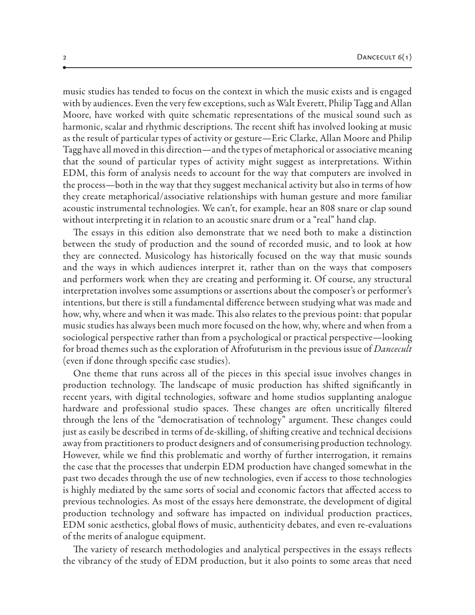music studies has tended to focus on the context in which the music exists and is engaged with by audiences. Even the very few exceptions, such as Walt Everett, Philip Tagg and Allan Moore, have worked with quite schematic representations of the musical sound such as harmonic, scalar and rhythmic descriptions. The recent shift has involved looking at music as the result of particular types of activity or gesture—Eric Clarke, Allan Moore and Philip Tagg have all moved in this direction—and the types of metaphorical or associative meaning that the sound of particular types of activity might suggest as interpretations. Within EDM, this form of analysis needs to account for the way that computers are involved in the process—both in the way that they suggest mechanical activity but also in terms of how they create metaphorical/associative relationships with human gesture and more familiar acoustic instrumental technologies. We can't, for example, hear an 808 snare or clap sound without interpreting it in relation to an acoustic snare drum or a "real" hand clap.

The essays in this edition also demonstrate that we need both to make a distinction between the study of production and the sound of recorded music, and to look at how they are connected. Musicology has historically focused on the way that music sounds and the ways in which audiences interpret it, rather than on the ways that composers and performers work when they are creating and performing it. Of course, any structural interpretation involves some assumptions or assertions about the composer's or performer's intentions, but there is still a fundamental difference between studying what was made and how, why, where and when it was made. This also relates to the previous point: that popular music studies has always been much more focused on the how, why, where and when from a sociological perspective rather than from a psychological or practical perspective—looking for broad themes such as the exploration of Afrofuturism in the previous issue of *Dancecult* (even if done through specific case studies).

One theme that runs across all of the pieces in this special issue involves changes in production technology. The landscape of music production has shifted significantly in recent years, with digital technologies, software and home studios supplanting analogue hardware and professional studio spaces. These changes are often uncritically filtered through the lens of the "democratisation of technology" argument. These changes could just as easily be described in terms of de-skilling, of shifting creative and technical decisions away from practitioners to product designers and of consumerising production technology. However, while we find this problematic and worthy of further interrogation, it remains the case that the processes that underpin EDM production have changed somewhat in the past two decades through the use of new technologies, even if access to those technologies is highly mediated by the same sorts of social and economic factors that affected access to previous technologies. As most of the essays here demonstrate, the development of digital production technology and software has impacted on individual production practices, EDM sonic aesthetics, global flows of music, authenticity debates, and even re-evaluations of the merits of analogue equipment.

The variety of research methodologies and analytical perspectives in the essays reflects the vibrancy of the study of EDM production, but it also points to some areas that need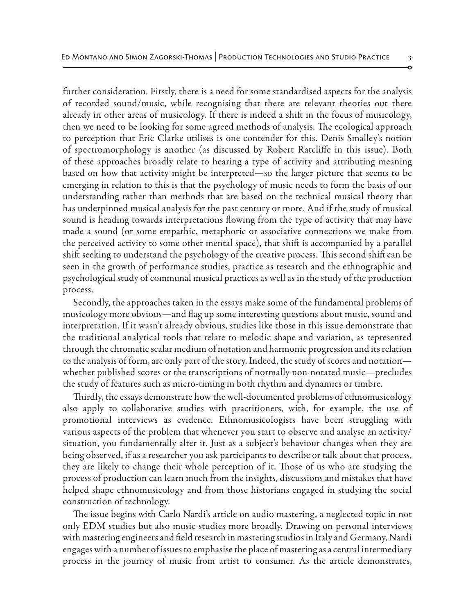further consideration. Firstly, there is a need for some standardised aspects for the analysis of recorded sound/music, while recognising that there are relevant theories out there already in other areas of musicology. If there is indeed a shift in the focus of musicology, then we need to be looking for some agreed methods of analysis. The ecological approach to perception that Eric Clarke utilises is one contender for this. Denis Smalley's notion of spectromorphology is another (as discussed by Robert Ratcliffe in this issue). Both of these approaches broadly relate to hearing a type of activity and attributing meaning based on how that activity might be interpreted—so the larger picture that seems to be emerging in relation to this is that the psychology of music needs to form the basis of our understanding rather than methods that are based on the technical musical theory that has underpinned musical analysis for the past century or more. And if the study of musical sound is heading towards interpretations flowing from the type of activity that may have made a sound (or some empathic, metaphoric or associative connections we make from the perceived activity to some other mental space), that shift is accompanied by a parallel shift seeking to understand the psychology of the creative process. This second shift can be seen in the growth of performance studies, practice as research and the ethnographic and psychological study of communal musical practices as well as in the study of the production process.

Secondly, the approaches taken in the essays make some of the fundamental problems of musicology more obvious—and flag up some interesting questions about music, sound and interpretation. If it wasn't already obvious, studies like those in this issue demonstrate that the traditional analytical tools that relate to melodic shape and variation, as represented through the chromatic scalar medium of notation and harmonic progression and its relation to the analysis of form, are only part of the story. Indeed, the study of scores and notation whether published scores or the transcriptions of normally non-notated music—precludes the study of features such as micro-timing in both rhythm and dynamics or timbre.

Thirdly, the essays demonstrate how the well-documented problems of ethnomusicology also apply to collaborative studies with practitioners, with, for example, the use of promotional interviews as evidence. Ethnomusicologists have been struggling with various aspects of the problem that whenever you start to observe and analyse an activity/ situation, you fundamentally alter it. Just as a subject's behaviour changes when they are being observed, if as a researcher you ask participants to describe or talk about that process, they are likely to change their whole perception of it. Those of us who are studying the process of production can learn much from the insights, discussions and mistakes that have helped shape ethnomusicology and from those historians engaged in studying the social construction of technology.

The issue begins with Carlo Nardi's article on audio mastering, a neglected topic in not only EDM studies but also music studies more broadly. Drawing on personal interviews with mastering engineers and field research in mastering studios in Italy and Germany, Nardi engages with a number of issues to emphasise the place of mastering as a central intermediary process in the journey of music from artist to consumer. As the article demonstrates,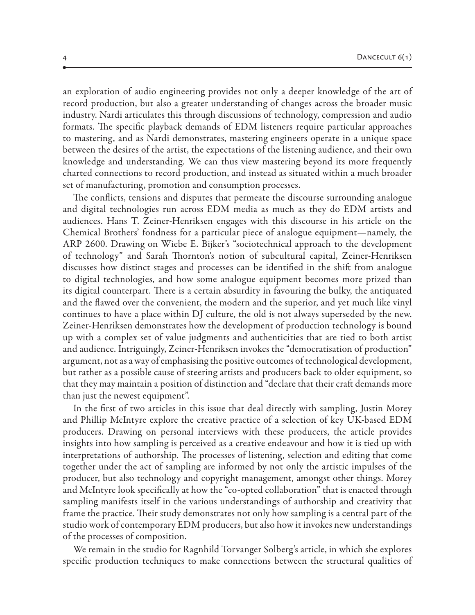an exploration of audio engineering provides not only a deeper knowledge of the art of record production, but also a greater understanding of changes across the broader music industry. Nardi articulates this through discussions of technology, compression and audio formats. The specific playback demands of EDM listeners require particular approaches to mastering, and as Nardi demonstrates, mastering engineers operate in a unique space between the desires of the artist, the expectations of the listening audience, and their own knowledge and understanding. We can thus view mastering beyond its more frequently charted connections to record production, and instead as situated within a much broader set of manufacturing, promotion and consumption processes.

The conflicts, tensions and disputes that permeate the discourse surrounding analogue and digital technologies run across EDM media as much as they do EDM artists and audiences. Hans T. Zeiner-Henriksen engages with this discourse in his article on the Chemical Brothers' fondness for a particular piece of analogue equipment—namely, the ARP 2600. Drawing on Wiebe E. Bijker's "sociotechnical approach to the development of technology" and Sarah Thornton's notion of subcultural capital, Zeiner-Henriksen discusses how distinct stages and processes can be identified in the shift from analogue to digital technologies, and how some analogue equipment becomes more prized than its digital counterpart. There is a certain absurdity in favouring the bulky, the antiquated and the flawed over the convenient, the modern and the superior, and yet much like vinyl continues to have a place within DJ culture, the old is not always superseded by the new. Zeiner-Henriksen demonstrates how the development of production technology is bound up with a complex set of value judgments and authenticities that are tied to both artist and audience. Intriguingly, Zeiner-Henriksen invokes the "democratisation of production" argument, not as a way of emphasising the positive outcomes of technological development, but rather as a possible cause of steering artists and producers back to older equipment, so that they may maintain a position of distinction and "declare that their craft demands more than just the newest equipment".

In the first of two articles in this issue that deal directly with sampling, Justin Morey and Phillip McIntyre explore the creative practice of a selection of key UK-based EDM producers. Drawing on personal interviews with these producers, the article provides insights into how sampling is perceived as a creative endeavour and how it is tied up with interpretations of authorship. The processes of listening, selection and editing that come together under the act of sampling are informed by not only the artistic impulses of the producer, but also technology and copyright management, amongst other things. Morey and McIntyre look specifically at how the "co-opted collaboration" that is enacted through sampling manifests itself in the various understandings of authorship and creativity that frame the practice. Their study demonstrates not only how sampling is a central part of the studio work of contemporary EDM producers, but also how it invokes new understandings of the processes of composition.

We remain in the studio for Ragnhild Torvanger Solberg's article, in which she explores specific production techniques to make connections between the structural qualities of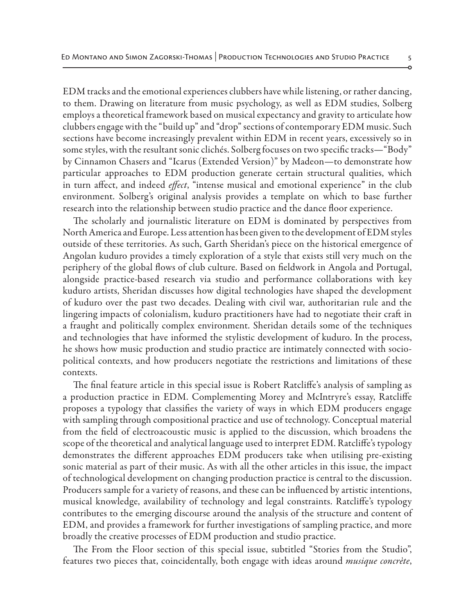EDM tracks and the emotional experiences clubbers have while listening, or rather dancing, to them. Drawing on literature from music psychology, as well as EDM studies, Solberg employs a theoretical framework based on musical expectancy and gravity to articulate how clubbers engage with the "build up" and "drop" sections of contemporary EDM music. Such sections have become increasingly prevalent within EDM in recent years, excessively so in some styles, with the resultant sonic clichés. Solberg focuses on two specific tracks—"Body" by Cinnamon Chasers and "Icarus (Extended Version)" by Madeon—to demonstrate how particular approaches to EDM production generate certain structural qualities, which in turn affect, and indeed *effect*, "intense musical and emotional experience" in the club environment. Solberg's original analysis provides a template on which to base further research into the relationship between studio practice and the dance floor experience.

The scholarly and journalistic literature on EDM is dominated by perspectives from North America and Europe. Less attention has been given to the development of EDM styles outside of these territories. As such, Garth Sheridan's piece on the historical emergence of Angolan kuduro provides a timely exploration of a style that exists still very much on the periphery of the global flows of club culture. Based on fieldwork in Angola and Portugal, alongside practice-based research via studio and performance collaborations with key kuduro artists, Sheridan discusses how digital technologies have shaped the development of kuduro over the past two decades. Dealing with civil war, authoritarian rule and the lingering impacts of colonialism, kuduro practitioners have had to negotiate their craft in a fraught and politically complex environment. Sheridan details some of the techniques and technologies that have informed the stylistic development of kuduro. In the process, he shows how music production and studio practice are intimately connected with sociopolitical contexts, and how producers negotiate the restrictions and limitations of these contexts.

The final feature article in this special issue is Robert Ratcliffe's analysis of sampling as a production practice in EDM. Complementing Morey and McIntryre's essay, Ratcliffe proposes a typology that classifies the variety of ways in which EDM producers engage with sampling through compositional practice and use of technology. Conceptual material from the field of electroacoustic music is applied to the discussion, which broadens the scope of the theoretical and analytical language used to interpret EDM. Ratcliffe's typology demonstrates the different approaches EDM producers take when utilising pre-existing sonic material as part of their music. As with all the other articles in this issue, the impact of technological development on changing production practice is central to the discussion. Producers sample for a variety of reasons, and these can be influenced by artistic intentions, musical knowledge, availability of technology and legal constraints. Ratcliffe's typology contributes to the emerging discourse around the analysis of the structure and content of EDM, and provides a framework for further investigations of sampling practice, and more broadly the creative processes of EDM production and studio practice.

The From the Floor section of this special issue, subtitled "Stories from the Studio", features two pieces that, coincidentally, both engage with ideas around *musique concrète*,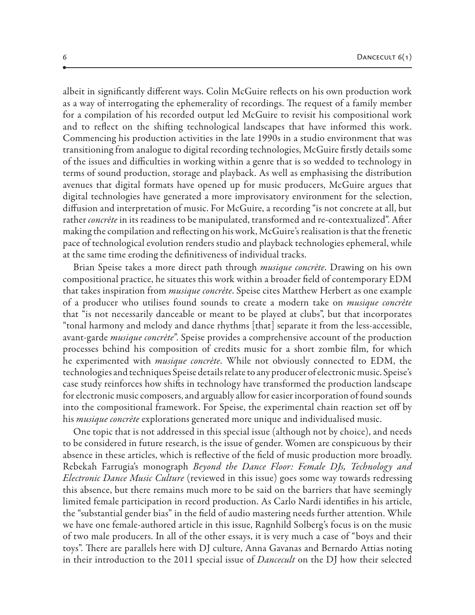albeit in significantly different ways. Colin McGuire reflects on his own production work as a way of interrogating the ephemerality of recordings. The request of a family member for a compilation of his recorded output led McGuire to revisit his compositional work and to reflect on the shifting technological landscapes that have informed this work. Commencing his production activities in the late 1990s in a studio environment that was transitioning from analogue to digital recording technologies, McGuire firstly details some of the issues and difficulties in working within a genre that is so wedded to technology in terms of sound production, storage and playback. As well as emphasising the distribution avenues that digital formats have opened up for music producers, McGuire argues that digital technologies have generated a more improvisatory environment for the selection, diffusion and interpretation of music. For McGuire, a recording "is not concrete at all, but rather *concrète* in its readiness to be manipulated, transformed and re-contextualized". After making the compilation and reflecting on his work, McGuire's realisation is that the frenetic pace of technological evolution renders studio and playback technologies ephemeral, while at the same time eroding the definitiveness of individual tracks.

Brian Speise takes a more direct path through *musique concrète*. Drawing on his own compositional practice, he situates this work within a broader field of contemporary EDM that takes inspiration from *musique concrète*. Speise cites Matthew Herbert as one example of a producer who utilises found sounds to create a modern take on *musique concrète* that "is not necessarily danceable or meant to be played at clubs", but that incorporates "tonal harmony and melody and dance rhythms [that] separate it from the less-accessible, avant-garde *musique concrète*". Speise provides a comprehensive account of the production processes behind his composition of credits music for a short zombie film, for which he experimented with *musique concrète*. While not obviously connected to EDM, the technologies and techniques Speise details relate to any producer of electronic music. Speise's case study reinforces how shifts in technology have transformed the production landscape for electronic music composers, and arguably allow for easier incorporation of found sounds into the compositional framework. For Speise, the experimental chain reaction set off by his *musique concrète* explorations generated more unique and individualised music.

One topic that is not addressed in this special issue (although not by choice), and needs to be considered in future research, is the issue of gender. Women are conspicuous by their absence in these articles, which is reflective of the field of music production more broadly. Rebekah Farrugia's monograph *Beyond the Dance Floor: Female DJs, Technology and Electronic Dance Music Culture* (reviewed in this issue) goes some way towards redressing this absence, but there remains much more to be said on the barriers that have seemingly limited female participation in record production. As Carlo Nardi identifies in his article, the "substantial gender bias" in the field of audio mastering needs further attention. While we have one female-authored article in this issue, Ragnhild Solberg's focus is on the music of two male producers. In all of the other essays, it is very much a case of "boys and their toys". There are parallels here with DJ culture, Anna Gavanas and Bernardo Attias noting in their introduction to the 2011 special issue of *Dancecult* on the DJ how their selected